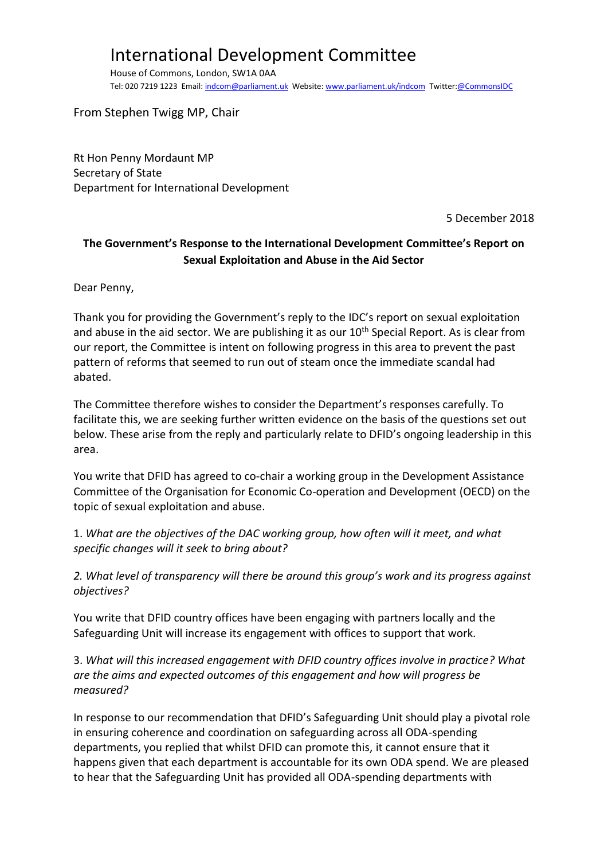## International Development Committee

House of Commons, London, SW1A 0AA Tel: 020 7219 1223 Email[: indcom@parliament.uk](mailto:indcom@parliament.uk) Website: [www.parliament.uk/indcom](http://www.parliament.uk/indcom) Twitter[:@CommonsIDC](https://twitter.com/CommonsIDC)

From Stephen Twigg MP, Chair

Rt Hon Penny Mordaunt MP Secretary of State Department for International Development

5 December 2018

## **The Government's Response to the International Development Committee's Report on Sexual Exploitation and Abuse in the Aid Sector**

Dear Penny,

Thank you for providing the Government's reply to the IDC's report on sexual exploitation and abuse in the aid sector. We are publishing it as our  $10<sup>th</sup>$  Special Report. As is clear from our report, the Committee is intent on following progress in this area to prevent the past pattern of reforms that seemed to run out of steam once the immediate scandal had abated.

The Committee therefore wishes to consider the Department's responses carefully. To facilitate this, we are seeking further written evidence on the basis of the questions set out below. These arise from the reply and particularly relate to DFID's ongoing leadership in this area.

You write that DFID has agreed to co-chair a working group in the Development Assistance Committee of the Organisation for Economic Co-operation and Development (OECD) on the topic of sexual exploitation and abuse.

1. *What are the objectives of the DAC working group, how often will it meet, and what specific changes will it seek to bring about?*

*2. What level of transparency will there be around this group's work and its progress against objectives?*

You write that DFID country offices have been engaging with partners locally and the Safeguarding Unit will increase its engagement with offices to support that work.

3. *What will this increased engagement with DFID country offices involve in practice? What are the aims and expected outcomes of this engagement and how will progress be measured?*

In response to our recommendation that DFID's Safeguarding Unit should play a pivotal role in ensuring coherence and coordination on safeguarding across all ODA-spending departments, you replied that whilst DFID can promote this, it cannot ensure that it happens given that each department is accountable for its own ODA spend. We are pleased to hear that the Safeguarding Unit has provided all ODA-spending departments with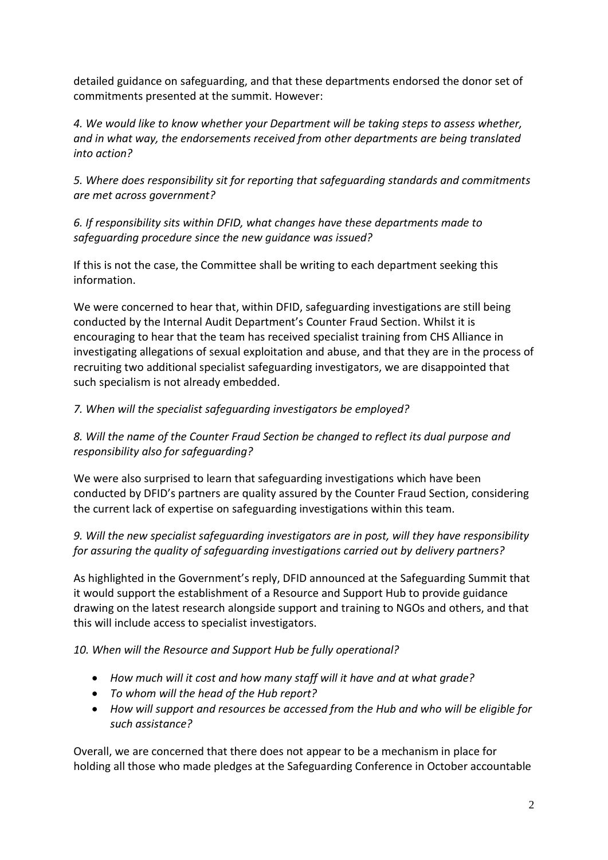detailed guidance on safeguarding, and that these departments endorsed the donor set of commitments presented at the summit. However:

*4. We would like to know whether your Department will be taking steps to assess whether, and in what way, the endorsements received from other departments are being translated into action?*

*5. Where does responsibility sit for reporting that safeguarding standards and commitments are met across government?*

*6. If responsibility sits within DFID, what changes have these departments made to safeguarding procedure since the new guidance was issued?*

If this is not the case, the Committee shall be writing to each department seeking this information.

We were concerned to hear that, within DFID, safeguarding investigations are still being conducted by the Internal Audit Department's Counter Fraud Section. Whilst it is encouraging to hear that the team has received specialist training from CHS Alliance in investigating allegations of sexual exploitation and abuse, and that they are in the process of recruiting two additional specialist safeguarding investigators, we are disappointed that such specialism is not already embedded.

## *7. When will the specialist safeguarding investigators be employed?*

*8. Will the name of the Counter Fraud Section be changed to reflect its dual purpose and responsibility also for safeguarding?*

We were also surprised to learn that safeguarding investigations which have been conducted by DFID's partners are quality assured by the Counter Fraud Section, considering the current lack of expertise on safeguarding investigations within this team.

*9. Will the new specialist safeguarding investigators are in post, will they have responsibility for assuring the quality of safeguarding investigations carried out by delivery partners?*

As highlighted in the Government's reply, DFID announced at the Safeguarding Summit that it would support the establishment of a Resource and Support Hub to provide guidance drawing on the latest research alongside support and training to NGOs and others, and that this will include access to specialist investigators.

*10. When will the Resource and Support Hub be fully operational?*

- *How much will it cost and how many staff will it have and at what grade?*
- *To whom will the head of the Hub report?*
- *How will support and resources be accessed from the Hub and who will be eligible for such assistance?*

Overall, we are concerned that there does not appear to be a mechanism in place for holding all those who made pledges at the Safeguarding Conference in October accountable